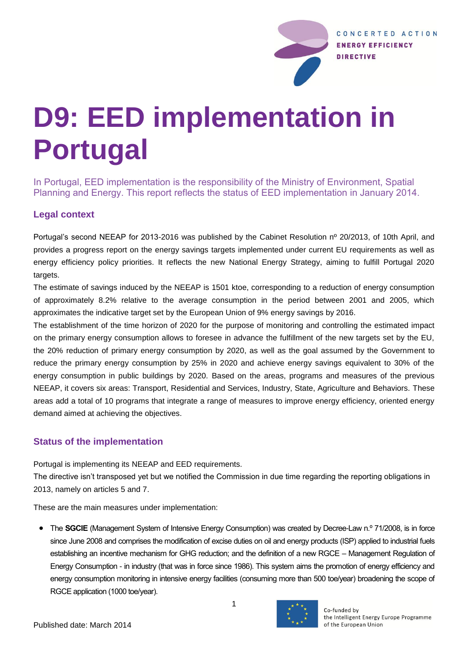

# **D9: EED implementation in Portugal**

In Portugal, EED implementation is the responsibility of the Ministry of Environment, Spatial Planning and Energy. This report reflects the status of EED implementation in January 2014.

#### **Legal context**

Portugal's second NEEAP for 2013-2016 was published by the Cabinet Resolution nº 20/2013, of 10th April, and provides a progress report on the energy savings targets implemented under current EU requirements as well as energy efficiency policy priorities. It reflects the new National Energy Strategy, aiming to fulfill Portugal 2020 targets.

The estimate of savings induced by the NEEAP is 1501 ktoe, corresponding to a reduction of energy consumption of approximately 8.2% relative to the average consumption in the period between 2001 and 2005, which approximates the indicative target set by the European Union of 9% energy savings by 2016.

The establishment of the time horizon of 2020 for the purpose of monitoring and controlling the estimated impact on the primary energy consumption allows to foresee in advance the fulfillment of the new targets set by the EU, the 20% reduction of primary energy consumption by 2020, as well as the goal assumed by the Government to reduce the primary energy consumption by 25% in 2020 and achieve energy savings equivalent to 30% of the energy consumption in public buildings by 2020. Based on the areas, programs and measures of the previous NEEAP, it covers six areas: Transport, Residential and Services, Industry, State, Agriculture and Behaviors. These areas add a total of 10 programs that integrate a range of measures to improve energy efficiency, oriented energy demand aimed at achieving the objectives.

## **Status of the implementation**

Portugal is implementing its NEEAP and EED requirements.

The directive isn't transposed yet but we notified the Commission in due time regarding the reporting obligations in 2013, namely on articles 5 and 7.

These are the main measures under implementation:

• The **SGCIE** (Management System of Intensive Energy Consumption) was created by Decree-Law n.º 71/2008, is in force since June 2008 and comprises the modification of excise duties on oil and energy products (ISP) applied to industrial fuels establishing an incentive mechanism for GHG reduction; and the definition of a new RGCE – Management Regulation of Energy Consumption - in industry (that was in force since 1986). This system aims the promotion of energy efficiency and energy consumption monitoring in intensive energy facilities (consuming more than 500 toe/year) broadening the scope of RGCE application (1000 toe/year).

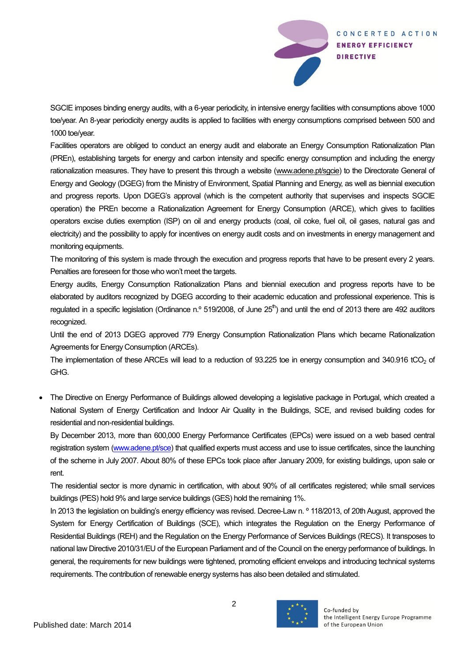

SGCIE imposes binding energy audits, with a 6-year periodicity, in intensive energy facilities with consumptions above 1000 toe/year. An 8-year periodicity energy audits is applied to facilities with energy consumptions comprised between 500 and 1000 toe/year.

Facilities operators are obliged to conduct an energy audit and elaborate an Energy Consumption Rationalization Plan (PREn), establishing targets for energy and carbon intensity and specific energy consumption and including the energy rationalization measures. They have to present this through a website [\(www.adene.pt/sgcie\)](http://www.adene.pt/sgcie) to the Directorate General of Energy and Geology (DGEG) from the Ministry of Environment, Spatial Planning and Energy, as well as biennial execution and progress reports. Upon DGEG's approval (which is the competent authority that supervises and inspects SGCIE operation) the PREn become a Rationalization Agreement for Energy Consumption (ARCE), which gives to facilities operators excise duties exemption (ISP) on oil and energy products (coal, oil coke, fuel oil, oil gases, natural gas and electricity) and the possibility to apply for incentives on energy audit costs and on investments in energy management and monitoring equipments.

The monitoring of this system is made through the execution and progress reports that have to be present every 2 years. Penalties are foreseen for those who won't meet the targets.

Energy audits, Energy Consumption Rationalization Plans and biennial execution and progress reports have to be elaborated by auditors recognized by DGEG according to their academic education and professional experience. This is regulated in a specific legislation (Ordinance n.º 519/2008, of June 25<sup>th</sup>) and until the end of 2013 there are 492 auditors recognized.

Until the end of 2013 DGEG approved 779 Energy Consumption Rationalization Plans which became Rationalization Agreements for Energy Consumption (ARCEs).

The implementation of these ARCEs will lead to a reduction of  $93.225$  toe in energy consumption and  $340.916$  tCO<sub>2</sub> of GHG.

 The Directive on Energy Performance of Buildings allowed developing a legislative package in Portugal, which created a National System of Energy Certification and Indoor Air Quality in the Buildings, SCE, and revised building codes for residential and non-residential buildings.

By December 2013, more than 600,000 Energy Performance Certificates (EPCs) were issued on a web based central registration system [\(www.adene.pt/sce\)](http://www.adene.pt/sce) that qualified experts must access and use to issue certificates, since the launching of the scheme in July 2007. About 80% of these EPCs took place after January 2009, for existing buildings, upon sale or rent.

The residential sector is more dynamic in certification, with about 90% of all certificates registered; while small services buildings (PES) hold 9% and large service buildings (GES) hold the remaining 1%.

In 2013 the legislation on building's energy efficiency was revised. Decree-Law n. <sup>o</sup> 118/2013, of 20th August, approved the System for Energy Certification of Buildings (SCE), which integrates the Regulation on the Energy Performance of Residential Buildings (REH) and the Regulation on the Energy Performance of Services Buildings (RECS). It transposes to national law Directive 2010/31/EU of the European Parliament and of the Council on the energy performance of buildings. In general, the requirements for new buildings were tightened, promoting efficient envelops and introducing technical systems requirements. The contribution of renewable energy systems has also been detailed and stimulated.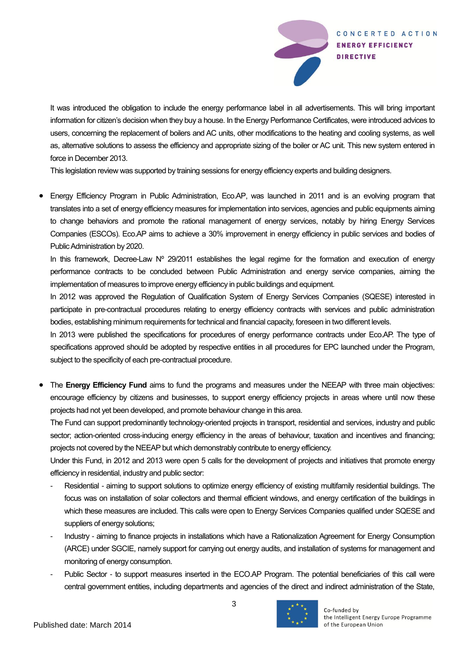

It was introduced the obligation to include the energy performance label in all advertisements. This will bring important information for citizen's decision when they buy a house. In the Energy Performance Certificates, were introduced advices to users, concerning the replacement of boilers and AC units, other modifications to the heating and cooling systems, as well as, alternative solutions to assess the efficiency and appropriate sizing of the boiler or AC unit. This new system entered in force in December 2013.

This legislation review was supported by training sessions for energy efficiency experts and building designers.

 Energy Efficiency Program in Public Administration, Eco.AP, was launched in 2011 and is an evolving program that translates into a set of energy efficiency measures for implementation into services, agencies and public equipments aiming to change behaviors and promote the rational management of energy services, notably by hiring Energy Services Companies (ESCOs). Eco.AP aims to achieve a 30% improvement in energy efficiency in public services and bodies of Public Administration by 2020.

In this framework, Decree-Law  $N^{\circ}$  29/2011 establishes the legal regime for the formation and execution of energy performance contracts to be concluded between Public Administration and energy service companies, aiming the implementation of measures to improve energy efficiency in public buildings and equipment.

In 2012 was approved the Regulation of Qualification System of Energy Services Companies (SQESE) interested in participate in pre-contractual procedures relating to energy efficiency contracts with services and public administration bodies, establishing minimum requirements for technical and financial capacity, foreseen in two different levels.

In 2013 were published the specifications for procedures of energy performance contracts under Eco.AP. The type of specifications approved should be adopted by respective entities in all procedures for EPC launched under the Program, subject to the specificity of each pre-contractual procedure.

 The **Energy Efficiency Fund** aims to fund the programs and measures under the NEEAP with three main objectives: encourage efficiency by citizens and businesses, to support energy efficiency projects in areas where until now these projects had not yet been developed, and promote behaviour change in this area.

The Fund can support predominantly technology-oriented projects in transport, residential and services, industry and public sector; action-oriented cross-inducing energy efficiency in the areas of behaviour, taxation and incentives and financing; projects not covered by the NEEAP but which demonstrably contribute to energy efficiency.

Under this Fund, in 2012 and 2013 were open 5 calls for the development of projects and initiatives that promote energy efficiency in residential, industry and public sector:

- Residential aiming to support solutions to optimize energy efficiency of existing multifamily residential buildings. The focus was on installation of solar collectors and thermal efficient windows, and energy certification of the buildings in which these measures are included. This calls were open to Energy Services Companies qualified under SQESE and suppliers of energy solutions;
- Industry aiming to finance projects in installations which have a Rationalization Agreement for Energy Consumption (ARCE) under SGCIE, namely support for carrying out energy audits, and installation of systems for management and monitoring of energy consumption.
- Public Sector to support measures inserted in the ECO.AP Program. The potential beneficiaries of this call were central government entities, including departments and agencies of the direct and indirect administration of the State,

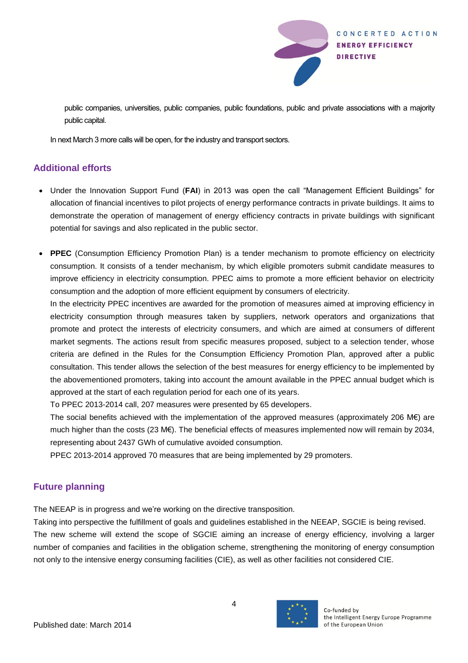

public companies, universities, public companies, public foundations, public and private associations with a majority public capital.

In next March 3 more calls will be open, for the industry and transport sectors.

#### **Additional efforts**

- Under the Innovation Support Fund (**FAI**) in 2013 was open the call "Management Efficient Buildings" for allocation of financial incentives to pilot projects of energy performance contracts in private buildings. It aims to demonstrate the operation of management of energy efficiency contracts in private buildings with significant potential for savings and also replicated in the public sector.
- **PPEC** (Consumption Efficiency Promotion Plan) is a tender mechanism to promote efficiency on electricity consumption. It consists of a tender mechanism, by which eligible promoters submit candidate measures to improve efficiency in electricity consumption. PPEC aims to promote a more efficient behavior on electricity consumption and the adoption of more efficient equipment by consumers of electricity.

In the electricity PPEC incentives are awarded for the promotion of measures aimed at improving efficiency in electricity consumption through measures taken by suppliers, network operators and organizations that promote and protect the interests of electricity consumers, and which are aimed at consumers of different market segments. The actions result from specific measures proposed, subject to a selection tender, whose criteria are defined in the Rules for the Consumption Efficiency Promotion Plan, approved after a public consultation. This tender allows the selection of the best measures for energy efficiency to be implemented by the abovementioned promoters, taking into account the amount available in the PPEC annual budget which is approved at the start of each regulation period for each one of its years.

To PPEC 2013-2014 call, 207 measures were presented by 65 developers.

The social benefits achieved with the implementation of the approved measures (approximately 206 M€) are much higher than the costs (23 M€). The beneficial effects of measures implemented now will remain by 2034, representing about 2437 GWh of cumulative avoided consumption.

PPEC 2013-2014 approved 70 measures that are being implemented by 29 promoters.

## **Future planning**

The NEEAP is in progress and we're working on the directive transposition.

Taking into perspective the fulfillment of goals and guidelines established in the NEEAP, SGCIE is being revised. The new scheme will extend the scope of SGCIE aiming an increase of energy efficiency, involving a larger number of companies and facilities in the obligation scheme, strengthening the monitoring of energy consumption not only to the intensive energy consuming facilities (CIE), as well as other facilities not considered CIE.